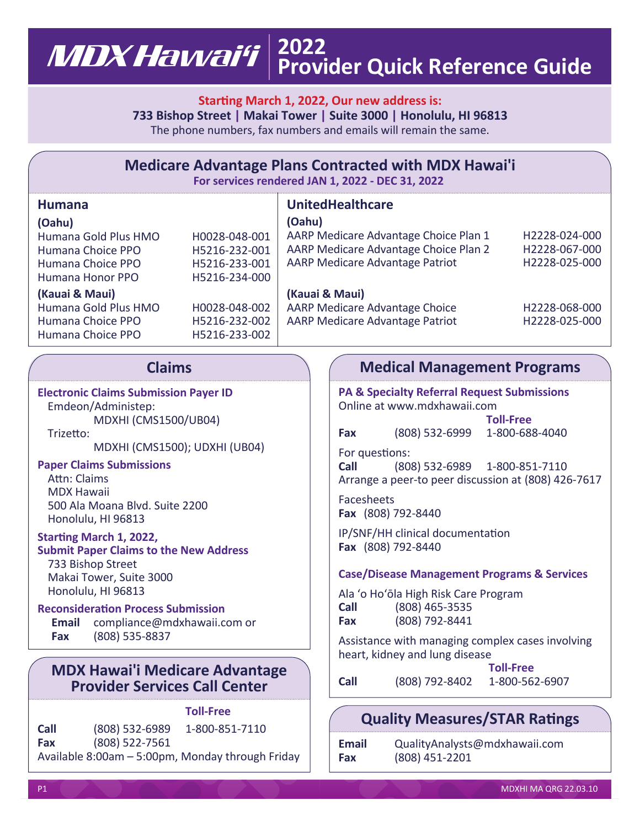### **2022** MDX Hawai'i **Provider Quick Reference Guide**

### **Starting March 1, 2022, Our new address is:**

**733 Bishop Street | Makai Tower | Suite 3000 | Honolulu, HI 96813** The phone numbers, fax numbers and emails will remain the same.

| <b>Medicare Advantage Plans Contracted with MDX Hawai'i</b><br>For services rendered JAN 1, 2022 - DEC 31, 2022                                                                                                                                                                 |                                                                                                                     |        |                                                                                                                                                                                                                                                                                                                                               |  |  |  |  |
|---------------------------------------------------------------------------------------------------------------------------------------------------------------------------------------------------------------------------------------------------------------------------------|---------------------------------------------------------------------------------------------------------------------|--------|-----------------------------------------------------------------------------------------------------------------------------------------------------------------------------------------------------------------------------------------------------------------------------------------------------------------------------------------------|--|--|--|--|
| <b>Humana</b><br>(Oahu)<br>Humana Gold Plus HMO<br>Humana Choice PPO<br>Humana Choice PPO<br>Humana Honor PPO<br>(Kauai & Maui)<br>Humana Gold Plus HMO<br>Humana Choice PPO<br>Humana Choice PPO                                                                               | H0028-048-001<br>H5216-232-001<br>H5216-233-001<br>H5216-234-000<br>H0028-048-002<br>H5216-232-002<br>H5216-233-002 | (Oahu) | <b>UnitedHealthcare</b><br>AARP Medicare Advantage Choice Plan 1<br>H2228-024-000<br>AARP Medicare Advantage Choice Plan 2<br>H2228-067-000<br><b>AARP Medicare Advantage Patriot</b><br>H2228-025-000<br>(Kauai & Maui)<br><b>AARP Medicare Advantage Choice</b><br>H2228-068-000<br><b>AARP Medicare Advantage Patriot</b><br>H2228-025-000 |  |  |  |  |
| <b>Claims</b>                                                                                                                                                                                                                                                                   |                                                                                                                     |        | <b>Medical Management Programs</b>                                                                                                                                                                                                                                                                                                            |  |  |  |  |
| <b>Electronic Claims Submission Payer ID</b><br>Emdeon/Administep:<br><b>MDXHI (CMS1500/UB04)</b><br>Trizetto:<br>MDXHI (CMS1500); UDXHI (UB04)<br><b>Paper Claims Submissions</b><br>Attn: Claims<br><b>MDX Hawaii</b><br>500 Ala Moana Blvd. Suite 2200<br>Honolulu, HI 96813 |                                                                                                                     |        | <b>PA &amp; Specialty Referral Request Submissions</b><br>Online at www.mdxhawaii.com<br><b>Toll-Free</b><br>(808) 532-6999 1-800-688-4040<br>Fax<br>For questions:<br>(808) 532-6989 1-800-851-7110<br><b>Call</b><br>Arrange a peer-to peer discussion at (808) 426-7617<br>Facesheets<br>Fax (808) 792-8440                                |  |  |  |  |
| Starting March 1, 2022,<br><b>Submit Paper Claims to the New Address</b><br>733 Bishop Street<br>Makai Tower, Suite 3000<br>Honolulu, HI 96813<br><b>Reconsideration Process Submission</b><br>compliance@mdxhawaii.com or<br>Email<br>(808) 535-8837<br>Fax                    |                                                                                                                     |        | IP/SNF/HH clinical documentation<br>Fax (808) 792-8440<br><b>Case/Disease Management Programs &amp; Services</b><br>Ala 'o Ho'ōla High Risk Care Program<br>(808) 465-3535<br><b>Call</b><br>(808) 792-8441<br>Fax<br>Accistance with managing complex cases involving                                                                        |  |  |  |  |

### **MDX Hawai'i Medicare Advantage Provider Services Call Center**

# **Toll-Free**

**Call** (808) 532-6989 1-800-851-7110 **Fax** (808) 522-7561 Available 8:00am – 5:00pm, Monday through Friday

ance with managing complex cases involving heart, kidney and lung disease **Toll-Free**

|      |                  | 1 91 1-1 1 5   |
|------|------------------|----------------|
| Call | $(808)$ 792-8402 | 1-800-562-6907 |

## **Quality Measures/STAR Ratings**

| Email | QualityAnalysts@mdxhawaii.com |
|-------|-------------------------------|
| Fax   | (808) 451-2201                |